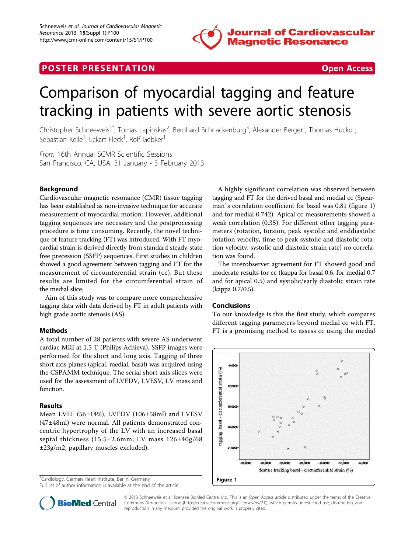

# **POSTER PRESENTATION CONSUMING THE SERVICE SERVICE SERVICES**



# Comparison of myocardial tagging and feature tracking in patients with severe aortic stenosis

Christopher Schneeweis<sup>1\*</sup>, Tomas Lapinskas<sup>2</sup>, Bernhard Schnackenburg<sup>3</sup>, Alexander Berger<sup>1</sup>, Thomas Hucko<sup>1</sup> , Sebastian Kelle<sup>1</sup>, Eckart Fleck<sup>1</sup>, Rolf Gebker<sup>1</sup>

From 16th Annual SCMR Scientific Sessions San Francisco, CA, USA. 31 January - 3 February 2013

## Background

Cardiovascular magnetic resonance (CMR) tissue tagging has been established as non-invasive technique for accurate measurement of myocardial motion. However, additional tagging sequences are necessary and the postprocessing procedure is time consuming. Recently, the novel technique of feature tracking (FT) was introduced. With FT myocardial strain is derived directly from standard steady-state free precession (SSFP) sequences. First studies in children showed a good agreement between tagging and FT for the measurement of circumferential strain (cc). But these results are limited for the circumferential strain of the medial slice.

Aim of this study was to compare more comprehensive tagging data with data derived by FT in adult patients with high grade aortic stenosis (AS).

# Methods

A total number of 28 patients with severe AS underwent cardiac MRI at 1.5 T (Philips Achieva). SSFP images were performed for the short and long axis. Tagging of three short axis planes (apical, medial, basal) was acquired using the CSPAMM technique. The serial short axis slices were used for the assessment of LVEDV, LVESV, LV mass and function.

#### Results

Mean LVEF (56±14%), LVEDV (106±58ml) and LVESV (47±48ml) were normal. All patients demonstrated concentric hypertrophy of the LV with an increased basal septal thickness (15.5±2.6mm; LV mass 126±40g/68 ±23g/m2, papillary muscles excluded).

<sup>1</sup>Cardiology, German Heart Institute, Berlin, Germany

Full list of author information is available at the end of the article

A highly significant correlation was observed between tagging and FT for the derived basal and medial cc (Spearman`s correlation coefficient for basal was 0.81 (figure 1) and for medial 0.742). Apical cc measurements showed a weak correlation (0.35). For different other tagging parameters (rotation, torsion, peak systolic and enddiastolic rotation velocity, time to peak systolic and diastolic rotation velocity, systolic and diastolic strain rate) no correlation was found.

The interobserver agreement for FT showed good and moderate results for cc (kappa for basal 0.6, for medial 0.7 and for apical 0.5) and systolic/early diastolic strain rate (kappa 0.7/0.5).

#### Conclusions

To our knowledge is this the first study, which compares different tagging parameters beyond medial cc with FT. FT is a promising method to assess cc using the medial





© 2013 Schneeweis et al; licensee BioMed Central Ltd. This is an Open Access article distributed under the terms of the Creative Commons Attribution License [\(http://creativecommons.org/licenses/by/2.0](http://creativecommons.org/licenses/by/2.0)), which permits unrestricted use, distribution, and reproduction in any medium, provided the original work is properly cited.